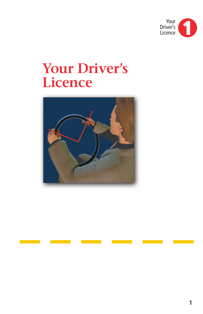

# **Your Driver's Licence**

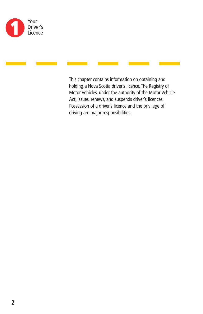

This chapter contains information on obtaining and holding a Nova Scotia driver's licence. The Registry of Motor Vehicles, under the authority of the Motor Vehicle Act, issues, renews, and suspends driver's licences. Possession of a driver's licence and the privilege of driving are major responsibilities.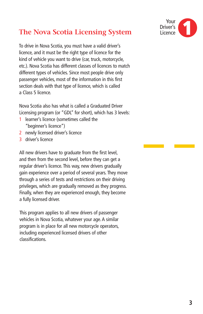# **The Nova Scotia Licensing System**

To drive in Nova Scotia, you must have a valid driver's licence, and it must be the right type of licence for the kind of vehicle you want to drive (car, truck, motorcycle, etc.). Nova Scotia has different classes of licences to match different types of vehicles. Since most people drive only passenger vehicles, most of the information in this first section deals with that type of licence, which is called a Class 5 licence.

Nova Scotia also has what is called a Graduated Driver Licensing program (or "GDL" for short), which has 3 levels:

- 1 learner's licence (sometimes called the "beginner's licence")
- 2 newly licensed driver's licence
- 3 driver's licence

All new drivers have to graduate from the first level, and then from the second level, before they can get a regular driver's licence. This way, new drivers gradually gain experience over a period of several years. They move through a series of tests and restrictions on their driving privileges, which are gradually removed as they progress. Finally, when they are experienced enough, they become a fully licensed driver.

This program applies to all new drivers of passenger vehicles in Nova Scotia, whatever your age. A similar program is in place for all new motorcycle operators, including experienced licensed drivers of other classifications.

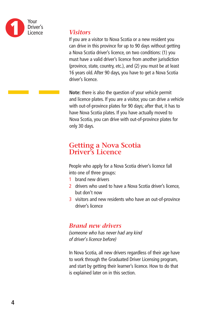

#### *Visitors*

If you are a visitor to Nova Scotia or a new resident you can drive in this province for up to 90 days without getting a Nova Scotia driver's licence, on two conditions: (1) you must have a valid driver's licence from another jurisdiction (province, state, country, etc.), and (2) you must be at least 16 years old. After 90 days, you have to get a Nova Scotia driver's licence.

**Note:** there is also the question of your vehicle permit and licence plates. If you are a visitor, you can drive a vehicle with out-of-province plates for 90 days; after that, it has to have Nova Scotia plates. If you have actually moved to Nova Scotia, you can drive with out-of-province plates for only 30 days.

### **Getting a Nova Scotia Driver's Licence**

People who apply for a Nova Scotia driver's licence fall into one of three groups:

- 1 brand new drivers
- 2 drivers who used to have a Nova Scotia driver's licence. but don't now
- 3 visitors and new residents who have an out-of-province driver's licence

#### *Brand new drivers*

*(someone who has never had any kind of driver's licence before)*

In Nova Scotia, all new drivers regardless of their age have to work through the Graduated Driver Licensing program, and start by getting their learner's licence. How to do that is explained later on in this section.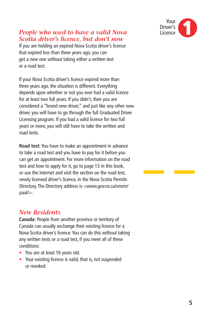

#### *People who used to have a valid Nova Scotia driver's licence, but don't now*

If you are holding an expired Nova Scotia driver's licence that expired less than three years ago, you can get a new one without taking either a written test or a road test.

If your Nova Scotia driver's licence expired more than three years ago, the situation is different. Everything depends upon whether or not you ever had a valid licence for at least two full years. If you didn't, then you are considered a "brand new driver," and just like any other new driver, you will have to go through the full Graduated Driver Licensing program. If you had a valid licence for two full years or more, you will still have to take the written and road tests.

**Road test:** You have to make an appointment in advance to take a road test and you have to pay for it before you can get an appointment. For more information on the road test and how to apply for it, go to page 13 in this book, or use the Internet and visit the section on the road test, newly licensed driver's licence, in the Nova Scotia Permits Directory. The Directory address is <www.gov.ns.ca/snsmr/ paal/>.

#### *New Residents*

**Canada:** People from another province or territory of Canada can usually exchange their existing licence for a Nova Scotia driver's licence. You can do this without taking any written tests or a road test, if you meet all of these conditions:

- You are at least 16 years old.
- Your existing licence is valid, that is, not suspended or revoked.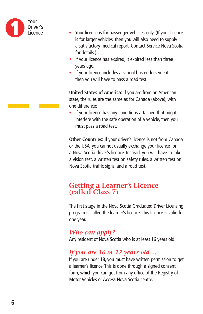

- Your licence is for passenger vehicles only. (If your licence is for larger vehicles, then you will also need to supply a satisfactory medical report. Contact Service Nova Scotia for details.)
- If your licence has expired, it expired less than three years ago.
- If your licence includes a school bus endorsement, then you will have to pass a road test.

**United States of America:** If you are from an American state, the rules are the same as for Canada (above), with one difference:

• If your licence has any conditions attached that might interfere with the safe operation of a vehicle, then you must pass a road test.

**Other Countries:** If your driver's licence is not from Canada or the USA, you cannot usually exchange your licence for a Nova Scotia driver's licence. Instead, you will have to take a vision test, a written test on safety rules, a written test on Nova Scotia traffic signs, and a road test.

#### **Getting a Learner's Licence (called Class 7)**

The first stage in the Nova Scotia Graduated Driver Licensing program is called the learner's licence. This licence is valid for one year.

#### *Who can apply?*

Any resident of Nova Scotia who is at least 16 years old.

#### *If you are 16 or 17 years old ...*

If you are under 18, you must have written permission to get a learner's licence. This is done through a signed consent form, which you can get from any office of the Registry of Motor Vehicles or Access Nova Scotia centre.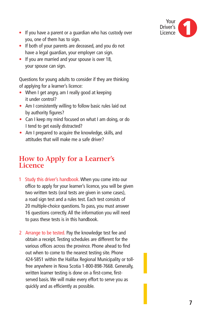

- If you have a parent or a guardian who has custody over you, one of them has to sign.
- If both of your parents are deceased, and you do not have a legal guardian, your employer can sign.
- If you are married and your spouse is over 18, your spouse can sign.

Questions for young adults to consider if they are thinking of applying for a learner's licence:

- When I get angry, am I really good at keeping it under control?
- Am I consistently willing to follow basic rules laid out by authority figures?
- Can I keep my mind focused on what I am doing, or do I tend to get easily distracted?
- Am I prepared to acquire the knowledge, skills, and attitudes that will make me a safe driver?

#### **How to Apply for a Learner's Licence**

- 1 Study this driver's handbook.When you come into our office to apply for your learner's licence, you will be given two written tests (oral tests are given in some cases), a road sign test and a rules test. Each test consists of 20 multiple-choice questions. To pass, you must answer 16 questions correctly. All the information you will need to pass these tests is in this handbook.
- 2 Arrange to be tested. Pay the knowledge test fee and obtain a receipt. Testing schedules are different for the various offices across the province. Phone ahead to find out when to come to the nearest testing site. Phone 424-5851 within the Halifax Regional Municipality or tollfree anywhere in Nova Scotia 1-800-898-7668. Generally, written learner testing is done on a first-come, firstserved basis. We will make every effort to serve you as quickly and as efficiently as possible.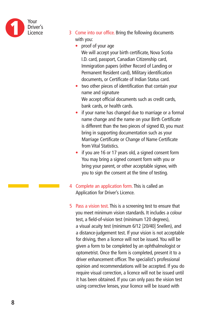

- 3 Come into our office. Bring the following documents with you:
	- proof of your age We will accept your birth certificate, Nova Scotia I.D. card, passport, Canadian Citizenship card, Immigration papers (either Record of Landing or Permanent Resident card), Military identification documents, or Certificate of Indian Status card.
	- two other pieces of identification that contain your name and signature We accept official documents such as credit cards, bank cards, or health cards.
	- if your name has changed due to marriage or a formal name change and the name on your Birth Certificate is different than the two pieces of signed ID, you must bring in supporting documentation such as your Marriage Certificate or Change of Name Certificate from Vital Statistics.
	- if you are 16 or 17 years old, a signed consent form You may bring a signed consent form with you or bring your parent, or other acceptable signee, with you to sign the consent at the time of testing.
- 4 Complete an application form. This is called an Application for Driver's Licence.
- 5 Pass a vision test. This is a screening test to ensure that you meet minimum vision standards. It includes a colour test, a field-of-vision test (minimum 120 degrees), a visual acuity test (minimum 6/12 [20/40] Snellen), and a distance-judgement test. If your vision is not acceptable for driving, then a licence will not be issued. You will be given a form to be completed by an ophthalmologist or optometrist. Once the form is completed, present it to a driver enhancement officer. The specialist's professional opinion and recommendations will be accepted. If you do require visual correction, a licence will not be issued until it has been obtained. If you can only pass the vision test using corrective lenses, your licence will be issued with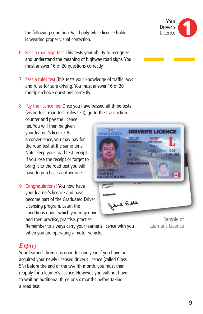the following condition: Valid only while licence holder is wearing proper visual correction.

- 6 Pass a road sign test. This tests your ability to recognize and understand the meaning of highway road signs. You must answer 16 of 20 questions correctly.
- 7 Pass a rules test. This tests your knowledge of traffic laws and rules for safe driving. You must answer 16 of 20 multiple-choice questions correctly.
- 8 Pay the licence fee. Once you have passed all three tests (vision test, road test, rules test), go to the transaction

counter and pay the licence fee. You will then be given your learner's licence. As a convenience, you may pay for the road test at the same time. Note: keep your road test receipt. If you lose the receipt or forget to bring it to the road test you will have to purchase another one.

9 Congratulations! You now have your learner's licence and have become part of the Graduated Driver Licensing program. Learn the conditions under which you may drive and then practise, practise, practise.



Remember to always carry your learner's licence with you when you are operating a motor vehicle.

#### Sample of Learner's Licence

#### *Expiry*

Your learner's licence is good for one year. If you have not acquired your newly licensed driver's licence (called Class 5N) before the end of the twelfth month, you must then reapply for a learner's licence. However, you will not have to wait an additional three or six months before taking a road test.

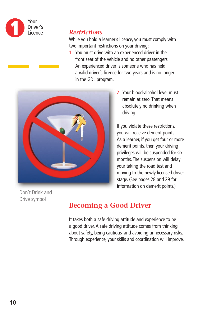

#### *Restrictions*

While you hold a learner's licence, you must comply with two important restrictions on your driving:

1 You must drive with an experienced driver in the front seat of the vehicle and no other passengers. An experienced driver is someone who has held a valid driver's licence for two years and is no longer in the GDL program.



2 Your blood-alcohol level must remain at zero. That means absolutely no drinking when driving.

If you violate these restrictions, you will receive demerit points. As a learner, if you get four or more demerit points, then your driving privileges will be suspended for six months. The suspension will delay your taking the road test and moving to the newly licensed driver stage. (See pages 28 and 29 for information on demerit points.)

Don't Drink and Drive symbol

# **Becoming a Good Driver**

It takes both a safe driving attitude and experience to be a good driver. A safe driving attitude comes from thinking about safety, being cautious, and avoiding unnecessary risks. Through experience, your skills and coordination will improve.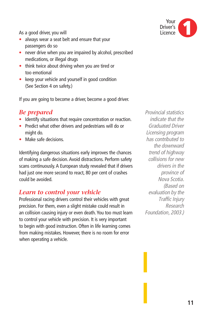As a good driver, you will

- always wear a seat belt and ensure that your passengers do so
- never drive when you are impaired by alcohol, prescribed medications, or illegal drugs
- think twice about driving when you are tired or too emotional
- keep your vehicle and yourself in good condition (See Section 4 on safety.)

If you are going to become a driver, become a good driver.

#### *Be prepared*

- Identify situations that require concentration or reaction.
- Predict what other drivers and pedestrians will do or might do.
- Make safe decisions.

Identifying dangerous situations early improves the chances of making a safe decision. Avoid distractions. Perform safety scans continuously. A European study revealed that if drivers had just one more second to react, 80 per cent of crashes could be avoided.

#### *Learn to control your vehicle*

Professional racing drivers control their vehicles with great precision. For them, even a slight mistake could result in an collision causing injury or even death. You too must learn to control your vehicle with precision. It is very important to begin with good instruction. Often in life learning comes from making mistakes. However, there is no room for error when operating a vehicle.



*Provincial statistics indicate that the Graduated Driver Licensing program has contributed to the downward trend of highway collisions for new drivers in the province of Nova Scotia. (Based on evaluation by the Traffic Injury Research Foundation, 2003.)*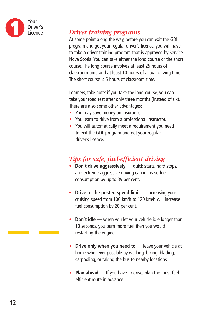

#### *Driver training programs*

At some point along the way, before you can exit the GDL program and get your regular driver's licence, you will have to take a driver training program that is approved by Service Nova Scotia. You can take either the long course or the short course. The long course involves at least 25 hours of classroom time and at least 10 hours of actual driving time. The short course is 6 hours of classroom time.

Learners, take note: if you take the long course, you can take your road test after only three months (instead of six). There are also some other advantages:

- You may save money on insurance.
- You learn to drive from a professional instructor.
- You will automatically meet a requirement you need to exit the GDL program and get your regular driver's licence.

### *Tips for safe, fuel-efficient driving*

- **Don't drive aggressively** quick starts, hard stops, and extreme aggressive driving can increase fuel consumption by up to 39 per cent.
- **Drive at the posted speed limit** increasing your cruising speed from 100 km/h to 120 km/h will increase fuel consumption by 20 per cent.
- **Don't idle** when you let your vehicle idle longer than 10 seconds, you burn more fuel then you would restarting the engine.
- **Drive only when you need to** leave your vehicle at home whenever possible by walking, biking, blading, carpooling, or taking the bus to nearby locations.
- **Plan ahead** If you have to drive, plan the most fuelefficient route in advance.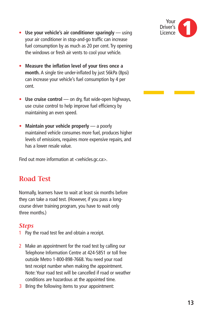

- **Use your vehicle's air conditioner sparingly** using your air conditioner in stop-and-go traffic can increase fuel consumption by as much as 20 per cent. Try opening the windows or fresh air vents to cool your vehicle.
- **Measure the inflation level of your tires once a month.** A single tire under-inflated by just 56kPa (8psi) can increase your vehicle's fuel consumption by 4 per cent.
- **Use cruise control** on dry, flat wide-open highways, use cruise control to help improve fuel efficiency by maintaining an even speed.
- **Maintain your vehicle properly** a poorly maintained vehicle consumes more fuel, produces higher levels of emissions, requires more expensive repairs, and has a lower resale value.

Find out more information at <vehicles.gc.ca>.

#### **Road Test**

Normally, learners have to wait at least six months before they can take a road test. (However, if you pass a longcourse driver training program, you have to wait only three months.)

#### *Steps*

- 1 Pay the road test fee and obtain a receipt.
- 2 Make an appointment for the road test by calling our Telephone Information Centre at 424-5851 or toll free outside Metro 1-800-898-7668. You need your road test receipt number when making the appointment. Note: Your road test will be cancelled if road or weather conditions are hazardous at the appointed time.
- 3 Bring the following items to your appointment: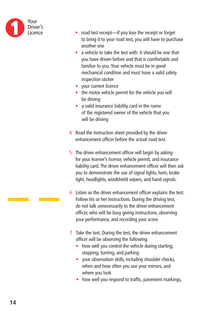

- road test receipt—if you lose the receipt or forget to bring it to your road test, you will have to purchase another one
- a vehicle to take the test with. It should be one that you have driven before and that is comfortable and familiar to you. Your vehicle must be in good mechanical condition and must have a valid safety inspection sticker
- your current licence
- the motor vehicle permit for the vehicle you will be driving
- a valid insurance liability card in the name of the registered owner of the vehicle that you will be driving
- 4 Read the instruction sheet provided by the driver enhancement officer before the actual road test.
- 5 The driver enhancement officer will begin by asking for your learner's licence, vehicle permit, and insurance liability card. The driver enhancement officer will then ask you to demonstrate the use of signal lights, horn, brake light, headlights, windshield wipers, and hand signals.
- 6 Listen as the driver enhancement officer explains the test. Follow his or her instructions. During the driving test, do not talk unnecessarily to the driver enhancement officer, who will be busy giving instructions, observing your performance, and recording your score.
- 7 Take the test. During the test, the driver enhancement officer will be observing the following:
	- how well you control the vehicle during starting, stopping, turning, and parking
	- your observation skills, including shoulder checks, when and how often you use your mirrors, and where you look
	- how well you respond to traffic, pavement markings,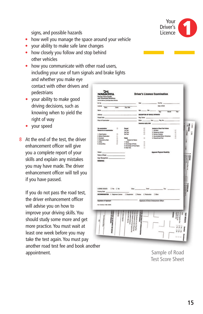

signs, and possible hazards

- how well you manage the space around your vehicle
- your ability to make safe lane changes
- how closely you follow and stop behind other vehicles

• how you communicate with other road users, including your use of turn signals and brake lights and whether you make eye contact with other drivers and pedestrians

- your ability to make good driving decisions, such as knowing when to yield the right of way
- your speed
- 8 At the end of the test, the driver enhancement officer will give you a complete report of your skills and explain any mistakes you may have made. The driver enhancement officer will tell you if you have passed.

If you do not pass the road test, the driver enhancement officer will advise you on how to improve your driving skills. You should study some more and get more practice. You must wait at least one week before you may take the test again. You must pay another road test fee and book another appointment.

| M. No. .<br>License - Diest                              |             |                                                                                                   | flate.                          |                                         |                  |                                         |
|----------------------------------------------------------|-------------|---------------------------------------------------------------------------------------------------|---------------------------------|-----------------------------------------|------------------|-----------------------------------------|
|                                                          |             |                                                                                                   |                                 | Dist No.                                |                  |                                         |
|                                                          |             |                                                                                                   |                                 | Date of Birth                           |                  |                                         |
|                                                          | Cand.       | Exp. Oute                                                                                         |                                 |                                         |                  |                                         |
| Name                                                     |             |                                                                                                   | $40 - 50$                       | $\overline{D}$<br><b>Magellan</b>       | ₩                |                                         |
|                                                          |             |                                                                                                   |                                 |                                         |                  |                                         |
| Address -                                                |             |                                                                                                   | DESCRIPTION OF VEHICLE OPERATED |                                         |                  |                                         |
| Postal Dode                                              |             |                                                                                                   | Reg. Deter                      |                                         |                  |                                         |
| Place of Examination _                                   |             |                                                                                                   |                                 |                                         |                  |                                         |
|                                                          |             |                                                                                                   | Insurance explry date           |                                         |                  |                                         |
|                                                          |             |                                                                                                   |                                 |                                         |                  | Cabric C                                |
| Re-examination                                           | ×           | Passed                                                                                            | ۰                               | <b>Analysis of Road Test Fallure</b>    |                  |                                         |
| Reason for re-examination                                |             | <b>Tel Test</b>                                                                                   | O.                              | 1. Accident                             | U                | PRE-CHECK<br>PRE-CHECK                  |
|                                                          |             | 2nd Test                                                                                          | ö                               | 2. Dangerous Action                     | c                | 92.93                                   |
| 1. Point System                                          | o           | 3rd Test                                                                                          | n.                              | 3. Serious Violation                    | ö                |                                         |
| 2. Before Restoration                                    | c           |                                                                                                   |                                 | 4. Accumulated Minor Intractions        | ٥                |                                         |
| 3. Accident<br>4. Required by Dept.                      | $\Box$<br>ö | <b>Failed</b><br>Reason for Falure                                                                | ö                               | 5. Discontinued Test                    | $\Box$           |                                         |
| 5. Other.                                                | ö           | 1. Vision                                                                                         | ö                               |                                         |                  | ÷                                       |
| 6. School Bus.                                           | é           | 2. Knowledge of Rules                                                                             | ä                               |                                         |                  |                                         |
|                                                          |             | 3. Knowledge of Road Signs                                                                        | ö                               |                                         |                  |                                         |
|                                                          |             | 4. Road Test                                                                                      | ö                               |                                         |                  | į                                       |
| Vision (                                                 |             |                                                                                                   |                                 | <b>Apparent Physical Disability</b>     |                  |                                         |
| Rules of Road                                            |             |                                                                                                   |                                 |                                         |                  | 行所み声                                    |
|                                                          |             |                                                                                                   |                                 |                                         |                  | l<br><b>CRIS Strand Brown</b><br>SNOWN! |
| Sign Recognition<br>REMARKS:                             |             |                                                                                                   |                                 |                                         |                  |                                         |
|                                                          |             |                                                                                                   |                                 |                                         |                  |                                         |
|                                                          |             |                                                                                                   |                                 |                                         |                  |                                         |
|                                                          |             |                                                                                                   |                                 |                                         |                  | <b>Tha</b>                              |
| LICENSE ISSUED- D'We D'Be                                |             |                                                                                                   | Cond.                           |                                         |                  | Services:                               |
|                                                          |             | Date:                                                                                             |                                 | tu.                                     |                  | R                                       |
| <b>Posting Code</b>                                      |             |                                                                                                   |                                 |                                         |                  |                                         |
|                                                          |             |                                                                                                   |                                 |                                         |                  |                                         |
| Signature of Applicant                                   |             |                                                                                                   |                                 | Signature of Driver Enhancement Officer |                  |                                         |
|                                                          |             |                                                                                                   |                                 |                                         |                  |                                         |
| Fort: 124 (Fax: 11 68) 194079                            |             |                                                                                                   |                                 |                                         |                  |                                         |
|                                                          |             |                                                                                                   |                                 |                                         |                  |                                         |
|                                                          |             |                                                                                                   |                                 |                                         |                  |                                         |
| <b>DIM MUST BE RETURNED</b><br><b>EEEES</b> OR EMOURRES. |             |                                                                                                   | <b>EBSH FOR ROAD TEL</b>        |                                         | <b>Since the</b> | ERI                                     |
|                                                          |             | animous wholesale<br>j<br>til action (Special)                                                    |                                 |                                         | <b>Graduate</b>  |                                         |
|                                                          |             | (Voldp)                                                                                           |                                 |                                         |                  |                                         |
|                                                          |             |                                                                                                   | 道                               |                                         | ñ                | <b>RESULTS</b>                          |
|                                                          |             | 67 denote on Fordy Inputo Auto<br>75 Brintin or class 14 Aug<br><b>All Americans and Sund Sun</b> |                                 |                                         |                  |                                         |
|                                                          |             |                                                                                                   |                                 |                                         |                  |                                         |
| <b>RIVE ENVIRONMENT</b><br>š                             |             |                                                                                                   | <b>DEDITATION</b>               |                                         | 000<br>111       |                                         |

Sample of Road Test Score Sheet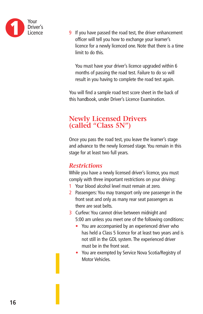

**9** If you have passed the road test, the driver enhancement officer will tell you how to exchange your learner's licence for a newly licenced one. Note that there is a time limit to do this.

You must have your driver's licence upgraded within 6 months of passing the road test. Failure to do so will result in you having to complete the road test again.

You will find a sample road test score sheet in the back of this handbook, under Driver's Licence Examination.

#### **Newly Licensed Drivers (called "Class 5N")**

Once you pass the road test, you leave the learner's stage and advance to the newly licensed stage. You remain in this stage for at least two full years.

#### *Restrictions*

While you have a newly licensed driver's licence, you must comply with three important restrictions on your driving:

- 1 Your blood alcohol level must remain at zero.
- 2 Passengers: You may transport only one passenger in the front seat and only as many rear seat passengers as there are seat belts.
- 3 Curfew: You cannot drive between midnight and 5:00 am unless you meet one of the following conditions:
	- You are accompanied by an experienced driver who has held a Class 5 licence for at least two years and is not still in the GDL system. The experienced driver must be in the front seat.
	- You are exempted by Service Nova Scotia/Registry of Motor Vehicles.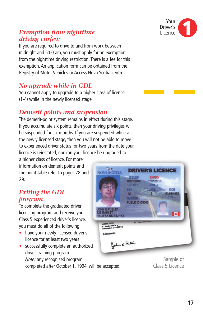#### Your Driver's Licence **1**

#### *Exemption from nighttime driving curfew*

If you are required to drive to and from work between midnight and 5:00 am, you must apply for an exemption from the nighttime driving restriction. There is a fee for this exemption. An application form can be obtained from the Registry of Motor Vehicles or Access Nova Scotia centre.

#### *No upgrade while in GDL*

You cannot apply to upgrade to a higher class of licence (1-4) while in the newly licensed stage.

#### *Demerit points and suspension*

The demerit-point system remains in effect during this stage. If you accumulate six points, then your driving privileges will be suspended for six months. If you are suspended while at the newly licensed stage, then you will not be able to move to experienced driver status for two years from the date your licence is reinstated, nor can your licence be upgraded to

**NO** 

a higher class of licence. For more information on demerit points and the point table refer to pages 28 and 29.

#### *Exiting the GDL program*

To complete the graduated driver licensing program and receive your Class 5 experienced driver's licence, you must do all of the following:

- have your newly licensed driver's licence for at least two years
- successfully complete an authorized driver training program *Note:* any recognized program

completed after October 1, 1994, will be accepted.

Sample of Class 5 Licence

| <b>Q PUBLIC</b><br><b>AIN ST</b>                                                                            | <b>ISSUED</b><br>06/01/2000<br><b>DIMIY</b><br><b>SEX</b><br>M<br><b>MASTER</b><br>PUBLI010155005 | <b>EXPIRY</b><br>01/01/2018<br><b>DIMLY</b><br><b>CLASS</b><br>5 <sub>1</sub> | <b>DOB</b><br>01/01/1955<br><b>DTMTN</b> |  |
|-------------------------------------------------------------------------------------------------------------|---------------------------------------------------------------------------------------------------|-------------------------------------------------------------------------------|------------------------------------------|--|
| AX NS B3J 1K4<br>nse Class:<br>Single vehicle or<br>abination (<14,000 kg)<br>dorsements:<br>Hohn of Public | 01 - Corrective lenses                                                                            |                                                                               |                                          |  |
|                                                                                                             |                                                                                                   |                                                                               | Sample of                                |  |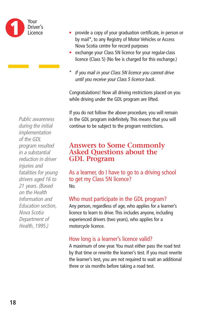

*Public awareness during the initial implementation of the GDL program resulted in a substantial reduction in driver injuries and fatalities for young drivers aged 16 to 21 years. (Based on the Health Information and Education section, Nova Scotia Department of Health, 1995.)*

- provide a copy of your graduation certificate, in person or by mail\*, to any Registry of Motor Vehicles or Access Nova Scotia centre for record purposes
- exchange your Class 5N licence for your regular-class licence (Class 5) (No fee is charged for this exchange.)
- *\* If you mail in your Class 5N licence you cannot drive until you receive your Class 5 licence back.*

Congratulations! Now all driving restrictions placed on you while driving under the GDL program are lifted.

If you do not follow the above procedure, you will remain in the GDL program indefinitely. This means that you will continue to be subject to the program restrictions.

#### **Answers to Some Commonly Asked Questions about the GDL Program**

As a learner, do I have to go to a driving school to get my Class 5N licence? No.

#### Who must participate in the GDL program?

Any person, regardless of age, who applies for a learner's licence to learn to drive. This includes anyone, including experienced drivers (two years), who applies for a motorcycle licence.

#### How long is a learner's licence valid?

A maximum of one year. You must either pass the road test by that time or rewrite the learner's test. If you must rewrite the learner's test, you are not required to wait an additional three or six months before taking a road test.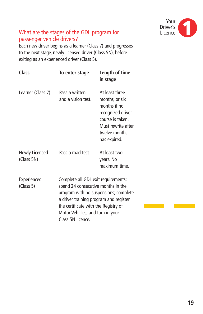

#### What are the stages of the GDL program for passenger vehicle drivers?

Each new driver begins as a learner (Class 7) and progresses to the next stage, newly licensed driver (Class 5N), before exiting as an experienced driver (Class 5).

| Class                        | To enter stage                                                                                                                                                                                                                                                | Length of time<br>in stage                                                                                                                       |
|------------------------------|---------------------------------------------------------------------------------------------------------------------------------------------------------------------------------------------------------------------------------------------------------------|--------------------------------------------------------------------------------------------------------------------------------------------------|
| Learner (Class 7)            | Pass a written<br>and a vision test.                                                                                                                                                                                                                          | At least three<br>months, or six<br>months if no<br>recognized driver<br>course is taken.<br>Must rewrite after<br>twelve months<br>has expired. |
| Newly Licensed<br>(Class 5N) | Pass a road test.                                                                                                                                                                                                                                             | At least two<br>years. No<br>maximum time.                                                                                                       |
| Experienced<br>(Class 5)     | Complete all GDL exit requirements:<br>spend 24 consecutive months in the<br>program with no suspensions; complete<br>a driver training program and register<br>the certificate with the Registry of<br>Motor Vehicles; and turn in your<br>Class 5N licence. |                                                                                                                                                  |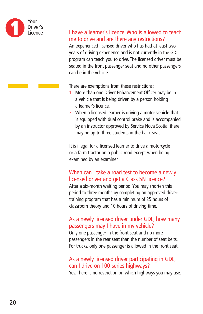

#### I have a learner's licence. Who is allowed to teach me to drive and are there any restrictions?

An experienced licensed driver who has had at least two years of driving experience and is not currently in the GDL program can teach you to drive. The licensed driver must be seated in the front passenger seat and no other passengers can be in the vehicle.

There are exemptions from these restrictions:

- 1 More than one Driver Enhancement Officer may be in a vehicle that is being driven by a person holding a learner's licence.
- 2 When a licensed learner is driving a motor vehicle that is equipped with dual control brake and is accompanied by an instructor approved by Service Nova Scotia, there may be up to three students in the back seat.

It is illegal for a licensed learner to drive a motorcycle or a farm tractor on a public road except when being examined by an examiner.

#### When can I take a road test to become a newly licensed driver and get a Class 5N licence?

After a six-month waiting period. You may shorten this period to three months by completing an approved drivertraining program that has a minimum of 25 hours of classroom theory and 10 hours of driving time.

#### As a newly licensed driver under GDL, how many passengers may I have in my vehicle?

Only one passenger in the front seat and no more passengers in the rear seat than the number of seat belts. For trucks, only one passenger is allowed in the front seat.

#### As a newly licensed driver participating in GDL, can I drive on 100-series highways?

Yes. There is no restriction on which highways you may use.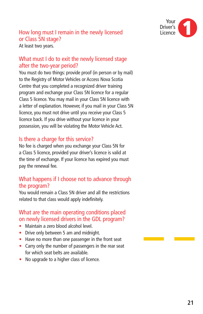

# How long must I remain in the newly licensed or Class 5N stage?

At least two years.

#### What must I do to exit the newly licensed stage after the two-year period?

You must do two things: provide proof (in person or by mail) to the Registry of Motor Vehicles or Access Nova Scotia Centre that you completed a recognized driver training program and exchange your Class 5N licence for a regular Class 5 licence. You may mail in your Class 5N licence with a letter of explanation. However, if you mail in your Class 5N licence, you must not drive until you receive your Class 5 licence back. If you drive without your licence in your possession, you will be violating the Motor Vehicle Act.

#### Is there a charge for this service?

No fee is charged when you exchange your Class 5N for a Class 5 licence, provided your driver's licence is valid at the time of exchange. If your licence has expired you must pay the renewal fee.

#### What happens if I choose not to advance through the program?

You would remain a Class 5N driver and all the restrictions related to that class would apply indefinitely.

#### What are the main operating conditions placed on newly licensed drivers in the GDL program?

- Maintain a zero blood alcohol level.
- Drive only between 5 am and midnight.
- Have no more than one passenger in the front seat
- Carry only the number of passengers in the rear seat for which seat belts are available.
- No upgrade to a higher class of licence.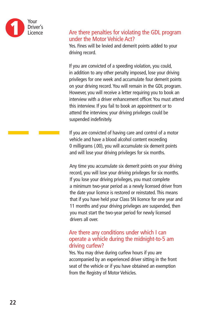

#### Are there penalties for violating the GDL program under the Motor Vehicle Act?

Yes. Fines will be levied and demerit points added to your driving record.

If you are convicted of a speeding violation, you could, in addition to any other penalty imposed, lose your driving privileges for one week and accumulate four demerit points on your driving record. You will remain in the GDL program. However, you will receive a letter requiring you to book an interview with a driver enhancement officer. You must attend this interview. If you fail to book an appointment or to attend the interview, your driving privileges could be suspended indefinitely.

If you are convicted of having care and control of a motor vehicle and have a blood alcohol content exceeding 0 milligrams (.00), you will accumulate six demerit points and will lose your driving privileges for six months.

Any time you accumulate six demerit points on your driving record, you will lose your driving privileges for six months. If you lose your driving privileges, you must complete a minimum two-year period as a newly licensed driver from the date your licence is restored or reinstated. This means that if you have held your Class 5N licence for one year and 11 months and your driving privileges are suspended, then you must start the two-year period for newly licensed drivers all over.

#### Are there any conditions under which I can operate a vehicle during the midnight-to-5 am driving curfew?

Yes. You may drive during curfew hours if you are accompanied by an experienced driver sitting in the front seat of the vehicle or if you have obtained an exemption from the Registry of Motor Vehicles.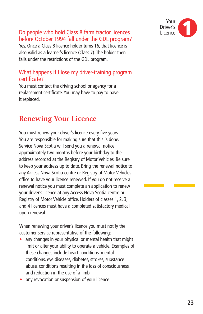

#### Do people who hold Class 8 farm tractor licences before October 1994 fall under the GDL program?

Yes. Once a Class 8 licence holder turns 16, that licence is also valid as a learner's licence (Class 7). The holder then falls under the restrictions of the GDL program.

#### What happens if I lose my driver-training program certificate?

You must contact the driving school or agency for a replacement certificate. You may have to pay to have it replaced.

# **Renewing Your Licence**

You must renew your driver's licence every five years. You are responsible for making sure that this is done. Service Nova Scotia will send you a renewal notice approximately two months before your birthday to the address recorded at the Registry of Motor Vehicles. Be sure to keep your address up to date. Bring the renewal notice to any Access Nova Scotia centre or Registry of Motor Vehicles office to have your licence renewed. If you do not receive a renewal notice you must complete an application to renew your driver's licence at any Access Nova Scotia centre or Registry of Motor Vehicle office. Holders of classes 1, 2, 3, and 4 licences must have a completed satisfactory medical upon renewal.

When renewing your driver's licence you must notify the customer service representative of the following:

- any changes in your physical or mental health that might limit or alter your ability to operate a vehicle. Examples of these changes include heart conditions, mental conditions, eye diseases, diabetes, strokes, substance abuse, conditions resulting in the loss of consciousness, and reduction in the use of a limb.
- any revocation or suspension of your licence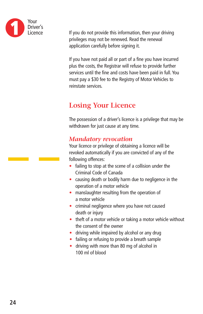

If you do not provide this information, then your driving privileges may not be renewed. Read the renewal application carefully before signing it.

If you have not paid all or part of a fine you have incurred plus the costs, the Registrar will refuse to provide further services until the fine and costs have been paid in full. You must pay a \$30 fee to the Registry of Motor Vehicles to reinstate services.

# **Losing Your Licence**

The possession of a driver's licence is a privilege that may be withdrawn for just cause at any time.

#### *Mandatory revocation*

Your licence or privilege of obtaining a licence will be revoked automatically if you are convicted of any of the following offences:

- failing to stop at the scene of a collision under the Criminal Code of Canada
- causing death or bodily harm due to negligence in the operation of a motor vehicle
- manslaughter resulting from the operation of a motor vehicle
- criminal negligence where you have not caused death or injury
- theft of a motor vehicle or taking a motor vehicle without the consent of the owner
- driving while impaired by alcohol or any drug
- failing or refusing to provide a breath sample
- driving with more than 80 mg of alcohol in 100 ml of blood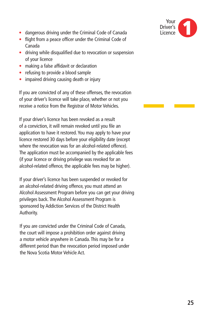

- dangerous driving under the Criminal Code of Canada
- flight from a peace officer under the Criminal Code of Canada
- driving while disqualified due to revocation or suspension of your licence
- making a false affidavit or declaration
- refusing to provide a blood sample
- impaired driving causing death or injury

If you are convicted of any of these offenses, the revocation of your driver's licence will take place, whether or not you receive a notice from the Registrar of Motor Vehicles.

If your driver's licence has been revoked as a result of a conviction, it will remain revoked until you file an application to have it restored. You may apply to have your licence restored 30 days before your eligibility date (except where the revocation was for an alcohol-related offence). The application must be accompanied by the applicable fees (if your licence or driving privilege was revoked for an alcohol-related offence, the applicable fees may be higher).

If your driver's licence has been suspended or revoked for an alcohol-related driving offence, you must attend an Alcohol Assessment Program before you can get your driving privileges back. The Alcohol Assessment Program is sponsored by Addiction Services of the District Health Authority.

If you are convicted under the Criminal Code of Canada, the court will impose a prohibition order against driving a motor vehicle anywhere in Canada. This may be for a different period than the revocation period imposed under the Nova Scotia Motor Vehicle Act.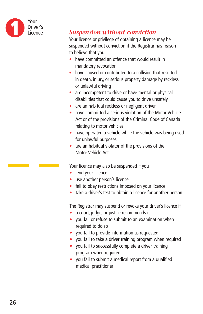

#### *Suspension without conviction*

Your licence or privilege of obtaining a licence may be suspended without conviction if the Registrar has reason to believe that you

- have committed an offence that would result in mandatory revocation
- have caused or contributed to a collision that resulted in death, injury, or serious property damage by reckless or unlawful driving
- are incompetent to drive or have mental or physical disabilities that could cause you to drive unsafely
- are an habitual reckless or negligent driver
- have committed a serious violation of the Motor Vehicle Act or of the provisions of the Criminal Code of Canada relating to motor vehicles
- have operated a vehicle while the vehicle was being used for unlawful purposes
- are an habitual violator of the provisions of the Motor Vehicle Act

Your licence may also be suspended if you

- lend your licence
- use another person's licence
- fail to obey restrictions imposed on your licence
- take a driver's test to obtain a licence for another person

The Registrar may suspend or revoke your driver's licence if

- a court, judge, or justice recommends it
- you fail or refuse to submit to an examination when required to do so
- you fail to provide information as requested
- you fail to take a driver training program when required
- you fail to successfully complete a driver training program when required
- you fail to submit a medical report from a qualified medical practitioner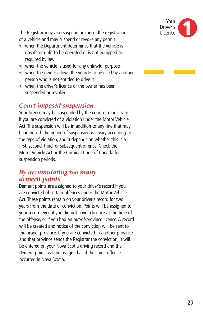

The Registrar may also suspend or cancel the registration of a vehicle and may suspend or revoke any permit

- when the Department determines that the vehicle is unsafe or unfit to be operated or is not equipped as required by law
- when the vehicle is used for any unlawful purpose
- when the owner allows the vehicle to be used by another person who is not entitled to drive it
- when the driver's licence of the owner has been suspended or revoked

#### *Court-imposed suspension*

Your licence may be suspended by the court or magistrate if you are convicted of a violation under the Motor Vehicle Act. The suspension will be in addition to any fine that may be imposed. The period of suspension will vary according to the type of violation, and it depends on whether this is a first, second, third, or subsequent offence. Check the Motor Vehicle Act or the Criminal Code of Canada for suspension periods.

#### *By accumulating too many demerit points*

Demerit points are assigned to your driver's record if you are convicted of certain offences under the Motor Vehicle Act. These points remain on your driver's record for two years from the date of conviction. Points will be assigned to your record even if you did not have a licence at the time of the offense, or if you had an out-of-province licence. A record will be created and notice of the conviction will be sent to the proper province. If you are convicted in another province and that province sends the Registrar the conviction, it will be entered on your Nova Scotia driving record and the demerit points will be assigned as if the same offence occurred in Nova Scotia.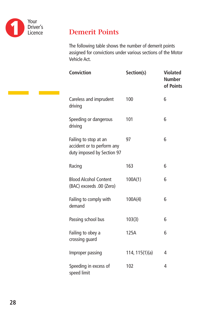

# **Demerit Points**

The following table shows the number of demerit points assigned for convictions under various sections of the Motor Vehicle Act.

| <b>Conviction</b>                                                                 | Section(s)     | <b>Violated</b><br><b>Number</b><br>of Points |
|-----------------------------------------------------------------------------------|----------------|-----------------------------------------------|
| Careless and imprudent<br>driving                                                 | 100            | 6                                             |
| Speeding or dangerous<br>driving                                                  | 101            | 6                                             |
| Failing to stop at an<br>accident or to perform any<br>duty imposed by Section 97 | 97             | 6                                             |
| Racing                                                                            | 163            | 6                                             |
| <b>Blood Alcohol Content</b><br>(BAC) exceeds .00 (Zero)                          | 100A(1)        | 6                                             |
| Failing to comply with<br>demand                                                  | 100A(4)        | 6                                             |
| Passing school bus                                                                | 103(3)         | 6                                             |
| Failing to obey a<br>crossing guard                                               | 125A           | 6                                             |
| Improper passing                                                                  | 114, 115(1)(a) | 4                                             |
| Speeding in excess of<br>speed limit                                              | 102            | 4                                             |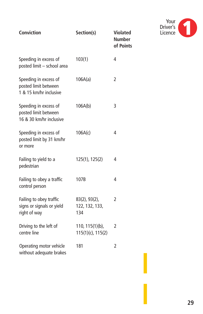| <b>Conviction</b>                                                        | Section(s)                                | <b>Violated</b><br><b>Number</b><br>of Points |
|--------------------------------------------------------------------------|-------------------------------------------|-----------------------------------------------|
| Speeding in excess of<br>posted limit - school area                      | 103(1)                                    | 4                                             |
| Speeding in excess of<br>posted limit between<br>1 & 15 km/hr inclusive  | 106A(a)                                   | 2                                             |
| Speeding in excess of<br>posted limit between<br>16 & 30 km/hr inclusive | 106A(b)                                   | 3                                             |
| Speeding in excess of<br>posted limit by 31 km/hr<br>or more             | 106A(c)                                   | 4                                             |
| Failing to yield to a<br>pedestrian                                      | 125(1), 125(2)                            | 4                                             |
| Failing to obey a traffic<br>control person                              | 107B                                      | 4                                             |
| Failing to obey traffic<br>signs or signals or yield<br>right of way     | 83(2), 93(2),<br>122, 132, 133,<br>134    | $\overline{2}$                                |
| Driving to the left of<br>centre line                                    | 110, 115(1)(b),<br>$115(1)(c)$ , $115(2)$ | 2                                             |
| Operating motor vehicle<br>without adequate brakes                       | 181                                       | 2                                             |

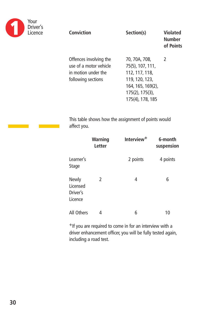

| Conviction                                                                                    | Section(s)                                                                                                                              | <b>Violated</b><br>Number<br>of Points |
|-----------------------------------------------------------------------------------------------|-----------------------------------------------------------------------------------------------------------------------------------------|----------------------------------------|
| Offences involving the<br>use of a motor vehicle<br>in motion under the<br>following sections | 70, 70A, 70B,<br>75(5), 107, 111,<br>112, 117, 118,<br>119, 120, 123,<br>164, 165, 169(2),<br>$175(2)$ , $175(3)$ ,<br>175(4), 178, 185 | $\mathcal{L}$                          |

This table shows how the assignment of points would affect you.

|                                          | <b>Warning</b><br>Letter | Interview <sup>+</sup> | 6-month<br>suspension |
|------------------------------------------|--------------------------|------------------------|-----------------------|
| Learner's<br>Stage                       |                          | 2 points               | 4 points              |
| Newly<br>Licensed<br>Driver's<br>Licence | 2                        | 4                      | 6                     |
| All Others                               | 4                        | 6                      | 10                    |

+If you are required to come in for an interview with a driver enhancement officer, you will be fully tested again, including a road test.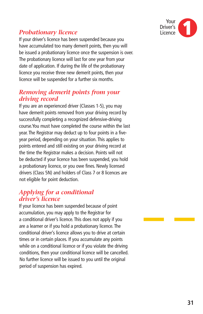

#### *Probationary licence*

If your driver's licence has been suspended because you have accumulated too many demerit points, then you will be issued a probationary licence once the suspension is over. The probationary licence will last for one year from your date of application. If during the life of the probationary licence you receive three new demerit points, then your licence will be suspended for a further six months.

#### *Removing demerit points from your driving record*

If you are an experienced driver (Classes 1-5), you may have demerit points removed from your driving record by successfully completing a recognized defensive-driving course.You must have completed the course within the last year. The Registrar may deduct up to four points in a fiveyear period, depending on your situation. This applies to points entered and still existing on your driving record at the time the Registrar makes a decision. Points will not be deducted if your licence has been suspended, you hold a probationary licence, or you owe fines. Newly licensed drivers (Class 5N) and holders of Class 7 or 8 licences are not eligible for point deduction.

#### *Applying for a conditional driver's licence*

If your licence has been suspended because of point accumulation, you may apply to the Registrar for a conditional driver's licence. This does not apply if you are a learner or if you hold a probationary licence. The conditional driver's licence allows you to drive at certain times or in certain places. If you accumulate any points while on a conditional licence or if you violate the driving conditions, then your conditional licence will be cancelled. No further licence will be issued to you until the original period of suspension has expired.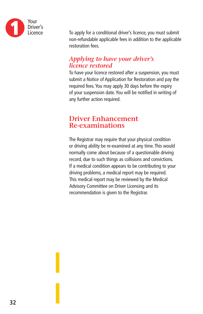

To apply for a conditional driver's licence, you must submit non-refundable applicable fees in addition to the applicable restoration fees.

#### *Applying to have your driver's licence restored*

To have your licence restored after a suspension, you must submit a Notice of Application for Restoration and pay the required fees. You may apply 30 days before the expiry of your suspension date. You will be notified in writing of any further action required.

#### **Driver Enhancement Re-examinations**

The Registrar may require that your physical condition or driving ability be re-examined at any time. This would normally come about because of a questionable driving record, due to such things as collisions and convictions. If a medical condition appears to be contributing to your driving problems, a medical report may be required. This medical report may be reviewed by the Medical Advisory Committee on Driver Licensing and its recommendation is given to the Registrar.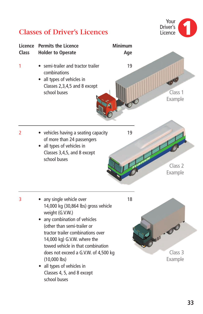

# **Classes of Driver's Licences**

school buses

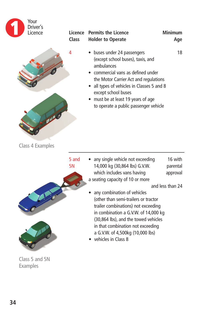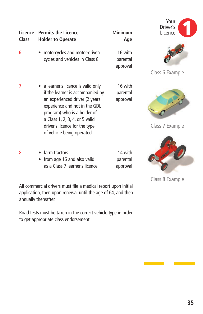| Licence<br><b>Class</b> | <b>Permits the Licence</b><br><b>Holder to Operate</b>                                                                                                                                                                                                                    | <b>Minimum</b><br>Age           | Your<br>Driver's<br>Licence |
|-------------------------|---------------------------------------------------------------------------------------------------------------------------------------------------------------------------------------------------------------------------------------------------------------------------|---------------------------------|-----------------------------|
| 6                       | motorcycles and motor-driven<br>cycles and vehicles in Class 8                                                                                                                                                                                                            | 16 with<br>parental<br>approval | Class 6 Example             |
| 7                       | • a learner's licence is valid only<br>if the learner is accompanied by<br>an experienced driver (2 years<br>experience and not in the GDL<br>program) who is a holder of<br>a Class 1, 2, 3, 4, or 5 valid<br>driver's licence for the type<br>of vehicle being operated | 16 with<br>parental<br>approval | Class 7 Example             |
| 8                       | farm tractors<br>from age 16 and also valid<br>as a Class 7 learner's licence                                                                                                                                                                                             | 14 with<br>parental<br>approval |                             |

Class 8 Example

All commercial drivers must file a medical report upon initial application, then upon renewal until the age of 64, and then annually thereafter.

Road tests must be taken in the correct vehicle type in order to get appropriate class endorsement.